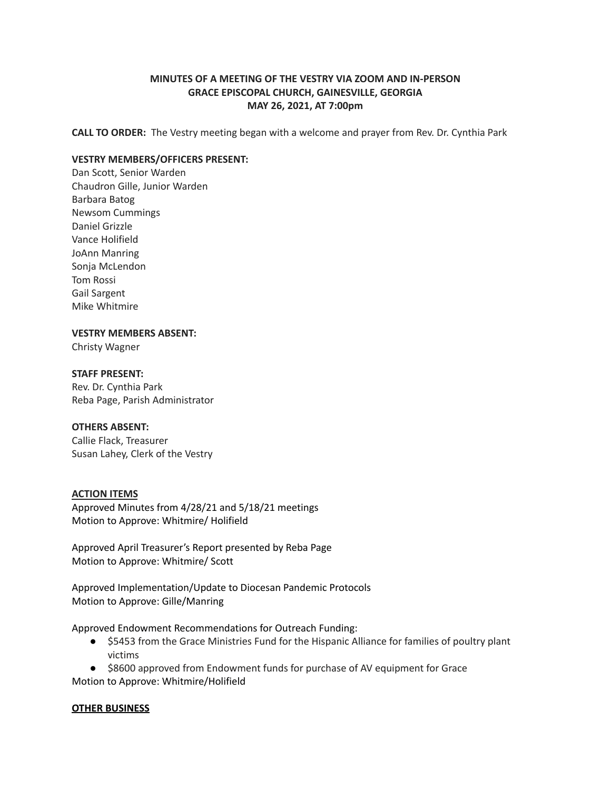# **MINUTES OF A MEETING OF THE VESTRY VIA ZOOM AND IN-PERSON GRACE EPISCOPAL CHURCH, GAINESVILLE, GEORGIA MAY 26, 2021, AT 7:00pm**

**CALL TO ORDER:** The Vestry meeting began with a welcome and prayer from Rev. Dr. Cynthia Park

## **VESTRY MEMBERS/OFFICERS PRESENT:**

Dan Scott, Senior Warden Chaudron Gille, Junior Warden Barbara Batog Newsom Cummings Daniel Grizzle Vance Holifield JoAnn Manring Sonja McLendon Tom Rossi Gail Sargent Mike Whitmire

### **VESTRY MEMBERS ABSENT:**

Christy Wagner

## **STAFF PRESENT:**

Rev. Dr. Cynthia Park Reba Page, Parish Administrator

## **OTHERS ABSENT:**

Callie Flack, Treasurer Susan Lahey, Clerk of the Vestry

### **ACTION ITEMS**

Approved Minutes from 4/28/21 and 5/18/21 meetings Motion to Approve: Whitmire/ Holifield

Approved April Treasurer's Report presented by Reba Page Motion to Approve: Whitmire/ Scott

Approved Implementation/Update to Diocesan Pandemic Protocols Motion to Approve: Gille/Manring

Approved Endowment Recommendations for Outreach Funding:

- \$5453 from the Grace Ministries Fund for the Hispanic Alliance for families of poultry plant victims
- \$8600 approved from Endowment funds for purchase of AV equipment for Grace Motion to Approve: Whitmire/Holifield

### **OTHER BUSINESS**